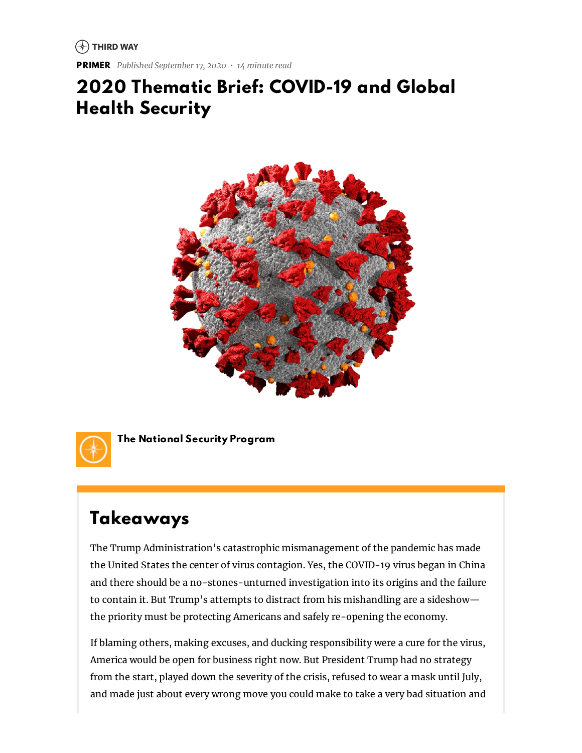$\left(\begin{matrix} \curvearrowleft \end{matrix}\right)$  THIRD WAY

**PRIMER** *Published September 17, 2020 • 14 minute read*

# **2020 Thematic Brief: COVID-19 and Global Health Security**





**The National Security Program**

# **Takeaways**

The Trump Administration's catastrophic mismanagement of the pandemic has made the United States the center of virus contagion. Yes, the COVID-19 virus began in China and there should be a no-stones-unturned investigation into its origins and the failure to contain it. But Trump's attempts to distract from his mishandling are a sideshow the priority must be protecting Americans and safely re-opening the economy.

If blaming others, making excuses, and ducking responsibility were a cure for the virus, America would be open for business right now. But President Trump had no strategy from the start, played down the severity of the crisis, refused to wear a mask until July, and made just about every wrong move you could make to take a very bad situation and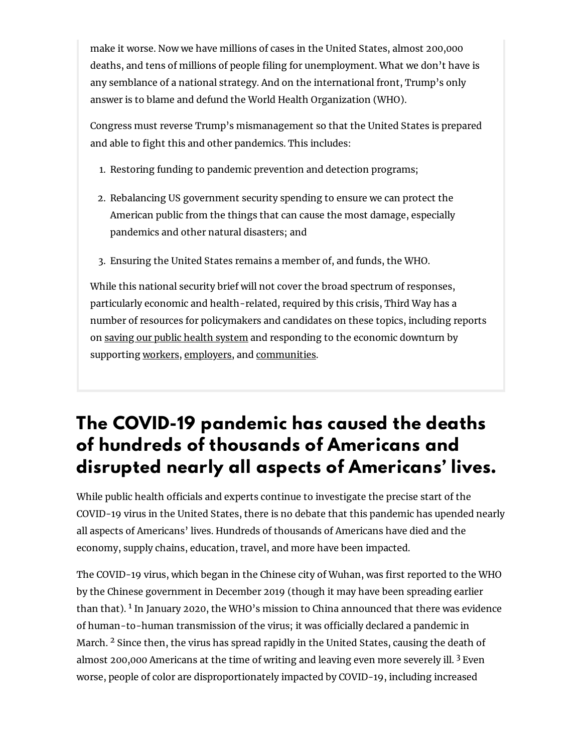make it worse. Now we have millions of cases in the United States, almost 200,000 deaths, and tens of millions of people filing for unemployment. What we don't have is any semblance of a national strategy. And on the international front, Trump's only answer is to blame and defund the World Health Organization (WHO).

Congress must reverse Trump's mismanagement so that the United States is prepared and able to fight this and other pandemics. This includes:

- 1. Restoring funding to pandemic prevention and detection programs;
- 2. Rebalancing US government security spending to ensure we can protect the American public from the things that can cause the most damage, especially pandemics and other natural disasters; and
- 3. Ensuring the United States remains a member of, and funds, the WHO.

While this national security brief will not cover the broad spectrum of responses, particularly economic and health-related, required by this crisis, Third Way has a number of resources for policymakers and candidates on these topics, including reports on saving our public health [system](https://www.thirdway.org/memo/coronacare-for-everyone-a-comprehensive-plan-to-rescue-health-care) and responding to the economic downturn by supporting [workers,](https://www.thirdway.org/report/a-coronavirus-safety-net-an-emergency-plan-to-rescue-us-workers) [employers,](https://www.thirdway.org/report/a-coronavirus-lifeline-6-ways-to-keep-american-employers-afloat) and [communities.](https://www.thirdway.org/memo/save-our-states-sos-rescue-plan-7-ways-to-save-our-communities-amid-covid-19)

# **The COVID-19 pandemic has caused the deaths of hundreds of thousands of Americans and disrupted nearly all aspects of Americans' lives.**

While public health officials and experts continue to investigate the precise start of the COVID-19 virus in the United States, there is no debate that this pandemic has upended nearly all aspects of Americans' lives. Hundreds of thousands of Americans have died and the economy, supply chains, education, travel, and more have been impacted.

The COVID-19 virus, which began in the Chinese city of Wuhan, was first reported to the WHO by the Chinese government in December 2019 (though it may have been spreading earlier than that). <sup>1</sup> In January 2020, the WHO's mission to China announced that there was evidence of human-to-human transmission of the virus; it was officially declared a pandemic in March. <sup>2</sup> Since then, the virus has spread rapidly in the United States, causing the death of almost 200,000 Americans at the time of writing and leaving even more severely ill.  $3$  Even worse, people of color are disproportionately impacted by COVID-19, including increased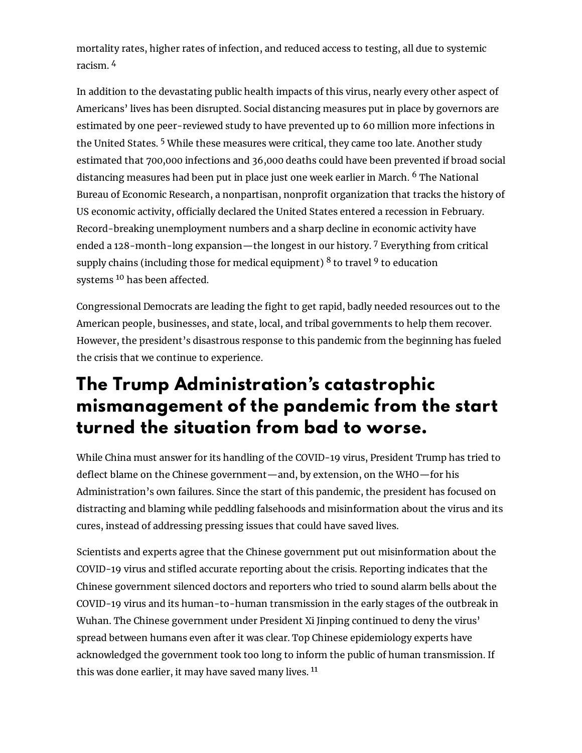mortality rates, higher rates of infection, and reduced access to testing, all due to systemic racism. <sup>4</sup>

In addition to the devastating public health impacts of this virus, nearly every other aspect of Americans' lives has been disrupted. Social distancing measures put in place by governors are estimated by one peer-reviewed study to have prevented up to 60 million more infections in the United States. <sup>5</sup> While these measures were critical, they came too late. Another study estimated that 700,000 infections and 36,000 deaths could have been prevented if broad social distancing measures had been put in place just one week earlier in March. <sup>6</sup> The National Bureau of Economic Research, a nonpartisan, nonprofit organization that tracks the history of US economic activity, officially declared the United States entered a recession in February. Record-breaking unemployment numbers and a sharp decline in economic activity have ended a 128-month-long expansion—the longest in our history. <sup>7</sup> Everything from critical supply chains (including those for medical equipment)  $8$  to travel  $9$  to education systems <sup>10</sup> has been affected.

Congressional Democrats are leading the fight to get rapid, badly needed resources out to the American people, businesses, and state, local, and tribal governments to help them recover. However, the president's disastrous response to this pandemic from the beginning has fueled the crisis that we continue to experience.

# **The Trump Administration's catastrophic mismanagement of the pandemic from the start turned the situation from bad to worse.**

While China must answer for its handling of the COVID-19 virus, President Trump has tried to deflect blame on the Chinese government—and, by extension, on the WHO—for his Administration's own failures. Since the start of this pandemic, the president has focused on distracting and blaming while peddling falsehoods and misinformation about the virus and its cures, instead of addressing pressing issues that could have saved lives.

Scientists and experts agree that the Chinese government put out misinformation about the COVID-19 virus and stifled accurate reporting about the crisis. Reporting indicates that the Chinese government silenced doctors and reporters who tried to sound alarm bells about the COVID-19 virus and its human-to-human transmission in the early stages of the outbreak in Wuhan. The Chinese government under President Xi Jinping continued to deny the virus' spread between humans even after it was clear. Top Chinese epidemiology experts have acknowledged the government took too long to inform the public of human transmission. If this was done earlier, it may have saved many lives. 11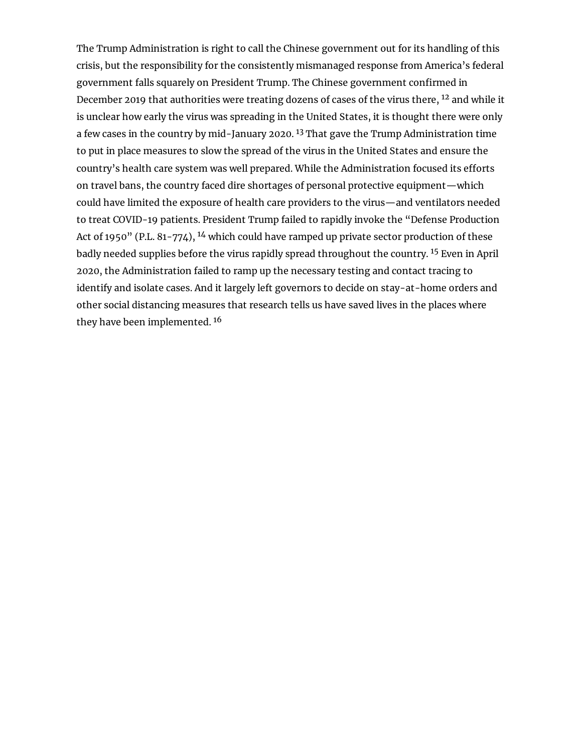The Trump Administration is right to call the Chinese government out for its handling of this crisis, but the responsibility for the consistently mismanaged response from America's federal government falls squarely on President Trump. The Chinese government confirmed in December 2019 that authorities were treating dozens of cases of the virus there, <sup>12</sup> and while it is unclear how early the virus was spreading in the United States, it is thought there were only a few cases in the country by mid-January 2020. <sup>13</sup> That gave the Trump Administration time to put in place measures to slow the spread of the virus in the United States and ensure the country's health care system was well prepared. While the Administration focused its efforts on travel bans, the country faced dire shortages of personal protective equipment—which could have limited the exposure of health care providers to the virus—and ventilators needed to treat COVID-19 patients. President Trump failed to rapidly invoke the "Defense Production Act of 1950" (P.L. 81-774),  $^{14}$  which could have ramped up private sector production of these badly needed supplies before the virus rapidly spread throughout the country. <sup>15</sup> Even in April 2020, the Administration failed to ramp up the necessary testing and contact tracing to identify and isolate cases. And it largely left governors to decide on stay-at-home orders and other social distancing measures that research tells us have saved lives in the places where they have been implemented. <sup>16</sup>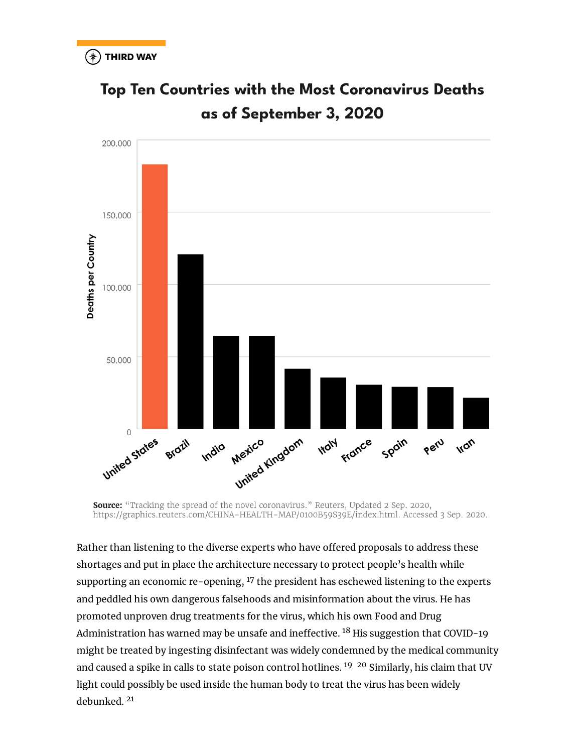

**Top Ten Countries with the Most Coronavirus Deaths** as of September 3, 2020

**Source:** "Tracking the spread of the novel coronavirus." Reuters, Updated 2 Sep. 2020, https://graphics.reuters.com/CHINA-HEALTH-MAP/0100B59S39E/index.html. Accessed 3 Sep. 2020.

Rather than listening to the diverse experts who have offered proposals to address these shortages and put in place the architecture necessary to protect people's health while supporting an economic re-opening,  $17$  the president has eschewed listening to the experts and peddled his own dangerous falsehoods and misinformation about the virus. He has promoted unproven drug treatments for the virus, which his own Food and Drug Administration has warned may be unsafe and ineffective. <sup>18</sup> His suggestion that COVID-19 might be treated by ingesting disinfectant was widely condemned by the medical community and caused a spike in calls to state poison control hotlines. <sup>19</sup> <sup>20</sup> Similarly, his claim that UV light could possibly be used inside the human body to treat the virus has been widely debunked. <sup>21</sup>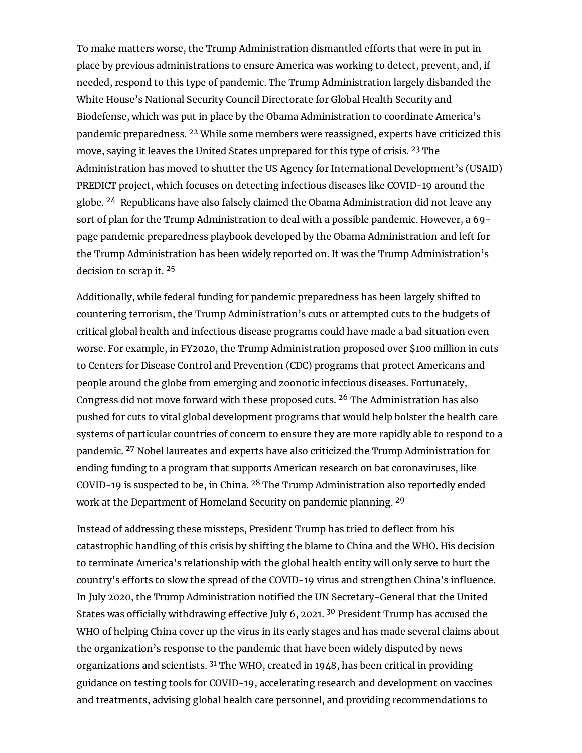To make matters worse, the Trump Administration dismantled efforts that were in put in place by previous administrations to ensure America was working to detect, prevent, and, if needed, respond to this type of pandemic. The Trump Administration largely disbanded the White House's National Security Council Directorate for Global Health Security and Biodefense, which was put in place by the Obama Administration to coordinate America's pandemic preparedness. <sup>22</sup> While some members were reassigned, experts have criticized this move, saying it leaves the United States unprepared for this type of crisis. <sup>23</sup> The Administration has moved to shutter the US Agency for International Development's (USAID) PREDICT project, which focuses on detecting infectious diseases like COVID-19 around the globe. <sup>24</sup> Republicans have also falsely claimed the Obama Administration did not leave any sort of plan for the Trump Administration to deal with a possible pandemic. However, a 69 page pandemic preparedness playbook developed by the Obama Administration and left for the Trump Administration has been widely reported on. It was the Trump Administration's decision to scrap it. <sup>25</sup>

Additionally, while federal funding for pandemic preparedness has been largely shifted to countering terrorism, the Trump Administration's cuts or attempted cuts to the budgets of critical global health and infectious disease programs could have made a bad situation even worse. For example, in FY2020, the Trump Administration proposed over \$100 million in cuts to Centers for Disease Control and Prevention (CDC) programs that protect Americans and people around the globe from emerging and zoonotic infectious diseases. Fortunately, Congress did not move forward with these proposed cuts. <sup>26</sup> The Administration has also pushed for cuts to vital global development programs that would help bolster the health care systems of particular countries of concern to ensure they are more rapidly able to respond to a pandemic. <sup>27</sup> Nobel laureates and experts have also criticized the Trump Administration for ending funding to a program that supports American research on bat coronaviruses, like COVID-19 is suspected to be, in China. <sup>28</sup> The Trump Administration also reportedly ended work at the Department of Homeland Security on pandemic planning. <sup>29</sup>

Instead of addressing these missteps, President Trump has tried to deflect from his catastrophic handling of this crisis by shifting the blame to China and the WHO. His decision to terminate America's relationship with the global health entity will only serve to hurt the country's efforts to slow the spread of the COVID-19 virus and strengthen China's influence. In July 2020, the Trump Administration notified the UN Secretary-General that the United States was officially withdrawing effective July 6, 2021.  $30$  President Trump has accused the WHO of helping China cover up the virus in its early stages and has made several claims about the organization's response to the pandemic that have been widely disputed by news organizations and scientists.  $31$  The WHO, created in 1948, has been critical in providing guidance on testing tools for COVID-19, accelerating research and development on vaccines and treatments, advising global health care personnel, and providing recommendations to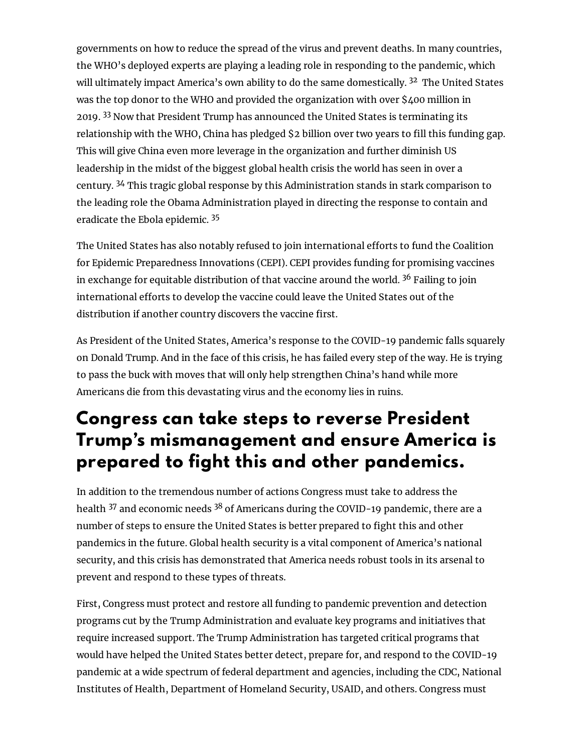governments on how to reduce the spread of the virus and prevent deaths. In many countries, the WHO's deployed experts are playing a leading role in responding to the pandemic, which will ultimately impact America's own ability to do the same domestically. <sup>32</sup> The United States was the top donor to the WHO and provided the organization with over \$400 million in 2019. <sup>33</sup> Now that President Trump has announced the United States is terminating its relationship with the WHO, China has pledged \$2 billion over two years to fill this funding gap. This will give China even more leverage in the organization and further diminish US leadership in the midst of the biggest global health crisis the world has seen in over a century. <sup>34</sup> This tragic global response by this Administration stands in stark comparison to the leading role the Obama Administration played in directing the response to contain and eradicate the Ebola epidemic. <sup>35</sup>

The United States has also notably refused to join international efforts to fund the Coalition for Epidemic Preparedness Innovations (CEPI). CEPI provides funding for promising vaccines in exchange for equitable distribution of that vaccine around the world. <sup>36</sup> Failing to join international efforts to develop the vaccine could leave the United States out of the distribution if another country discovers the vaccine first.

As President of the United States, America's response to the COVID-19 pandemic falls squarely on Donald Trump. And in the face of this crisis, he has failed every step of the way. He is trying to pass the buck with moves that will only help strengthen China's hand while more Americans die from this devastating virus and the economy lies in ruins.

# **Congress can take steps to reverse President Trump's mismanagement and ensure America is prepared to fight this and other pandemics.**

In addition to the tremendous number of actions Congress must take to address the health <sup>37</sup> and economic needs <sup>38</sup> of Americans during the COVID-19 pandemic, there are a number of steps to ensure the United States is better prepared to fight this and other pandemics in the future. Global health security is a vital component of America's national security, and this crisis has demonstrated that America needs robust tools in its arsenal to prevent and respond to these types of threats.

First, Congress must protect and restore all funding to pandemic prevention and detection programs cut by the Trump Administration and evaluate key programs and initiatives that require increased support. The Trump Administration has targeted critical programs that would have helped the United States better detect, prepare for, and respond to the COVID-19 pandemic at a wide spectrum of federal department and agencies, including the CDC, National Institutes of Health, Department of Homeland Security, USAID, and others. Congress must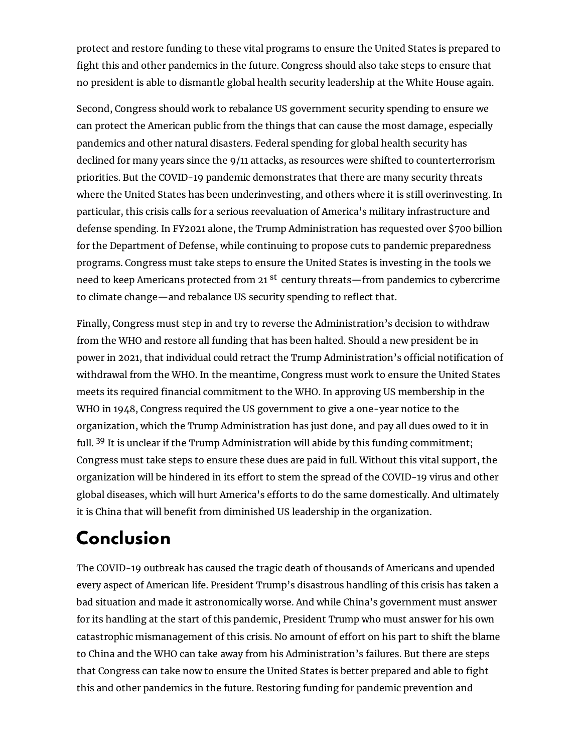protect and restore funding to these vital programs to ensure the United States is prepared to fight this and other pandemics in the future. Congress should also take steps to ensure that no president is able to dismantle global health security leadership at the White House again.

Second, Congress should work to rebalance US government security spending to ensure we can protect the American public from the things that can cause the most damage, especially pandemics and other natural disasters. Federal spending for global health security has declined for many years since the 9/11 attacks, as resources were shifted to counterterrorism priorities. But the COVID-19 pandemic demonstrates that there are many security threats where the United States has been underinvesting, and others where it is still overinvesting. In particular, this crisis calls for a serious reevaluation of America's military infrastructure and defense spending. In FY2021 alone, the Trump Administration has requested over \$700 billion for the Department of Defense, while continuing to propose cuts to pandemic preparedness programs. Congress must take steps to ensure the United States is investing in the tools we need to keep Americans protected from 21 <sup>st</sup> century threats—from pandemics to cybercrime to climate change—and rebalance US security spending to reflect that.

Finally, Congress must step in and try to reverse the Administration's decision to withdraw from the WHO and restore all funding that has been halted. Should a new president be in power in 2021, that individual could retract the Trump Administration's official notification of withdrawal from the WHO. In the meantime, Congress must work to ensure the United States meets its required financial commitment to the WHO. In approving US membership in the WHO in 1948, Congress required the US government to give a one-year notice to the organization, which the Trump Administration has just done, and pay all dues owed to it in full. <sup>39</sup> It is unclear if the Trump Administration will abide by this funding commitment; Congress must take steps to ensure these dues are paid in full. Without this vital support, the organization will be hindered in its effort to stem the spread of the COVID-19 virus and other global diseases, which will hurt America's efforts to do the same domestically. And ultimately it is China that will benefit from diminished US leadership in the organization.

# **Conclusion**

The COVID-19 outbreak has caused the tragic death of thousands of Americans and upended every aspect of American life. President Trump's disastrous handling of this crisis has taken a bad situation and made it astronomically worse. And while China's government must answer for its handling at the start of this pandemic, President Trump who must answer for his own catastrophic mismanagement of this crisis. No amount of effort on his part to shift the blame to China and the WHO can take away from his Administration's failures. But there are steps that Congress can take now to ensure the United States is better prepared and able to fight this and other pandemics in the future. Restoring funding for pandemic prevention and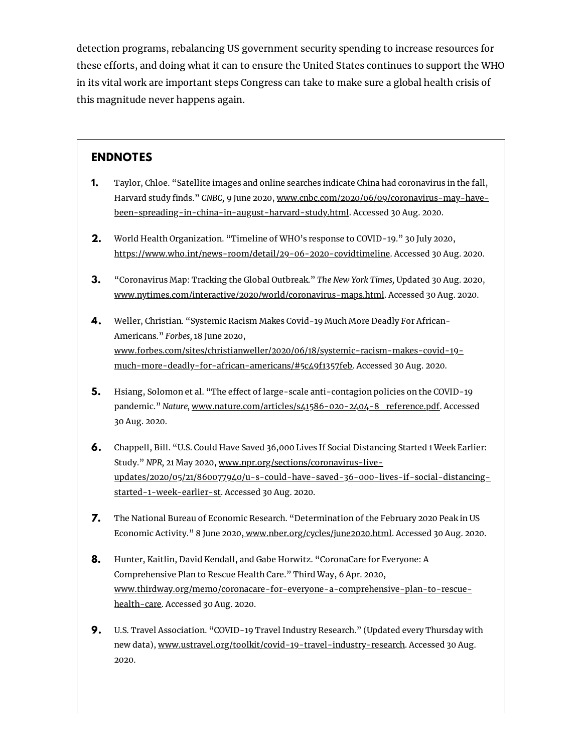detection programs, rebalancing US government security spending to increase resources for these efforts, and doing what it can to ensure the United States continues to support the WHO in its vital work are important steps Congress can take to make sure a global health crisis of this magnitude never happens again.

#### **ENDNOTES**

- Taylor, Chloe. "Satellite images and online searches indicate China had coronavirus in the fall, Harvard study finds." *CNBC*, 9 June 2020, www.cnbc.com/2020/06/09/coronavirus-may-have[been-spreading-in-china-in-august-harvard-study.html.](http://www.cnbc.com/2020/06/09/coronavirus-may-have-been-spreading-in-china-in-august-harvard-study.html) Accessed 30 Aug. 2020. **1.**
- World Health Organization. "Timeline of WHO's response to COVID-19." 30 July 2020, [https://www.who.int/news-room/detail/29-06-2020-covidtimeline.](https://www.who.int/news-room/detail/29-06-2020-covidtimeline) Accessed 30 Aug. 2020. **2.**
- "Coronavirus Map: Tracking the Global Outbreak." *The New York Times,* Updated 30 Aug. 2020, [www.nytimes.com/interactive/2020/world/coronavirus-maps.html.](http://www.nytimes.com/interactive/2020/world/coronavirus-maps.html) Accessed 30 Aug. 2020. **3.**
- Weller, Christian. "Systemic Racism Makes Covid-19 Much More Deadly For African-Americans." *Forbes,* 18 June 2020, [www.forbes.com/sites/christianweller/2020/06/18/systemic-racism-makes-covid-19](http://www.forbes.com/sites/christianweller/2020/06/18/systemic-racism-makes-covid-19-much-more-deadly-for-african-americans/#5c49f1357feb) much-more-deadly-for-african-americans/#5c49f1357feb. Accessed 30 Aug. 2020. **4.**
- Hsiang, Solomon et al. "The effect of large-scale anti-contagion policies on the COVID-19 pandemic." *Nature*, [www.nature.com/articles/s41586-020-2404-8\\_reference.pdf.](http://www.nature.com/articles/s41586-020-2404-8_reference.pdf) Accessed 30 Aug. 2020. **5.**
- Chappell, Bill. "U.S. Could Have Saved 36,000 Lives If Social Distancing Started 1 Week Earlier: **6.** Study." *NPR,* 21 May 2020, www.npr.org/sections/coronavirus-live[updates/2020/05/21/860077940/u-s-could-have-saved-36-000-lives-if-social-distancing](http://www.npr.org/sections/coronavirus-live-updates/2020/05/21/860077940/u-s-could-have-saved-36-000-lives-if-social-distancing-started-1-week-earlier-st)started-1-week-earlier-st. Accessed 30 Aug. 2020.
- The National Bureau of Economic Research. "Determination of the February 2020 Peak in US Economic Activity." 8 June 2020, [www.nber.org/cycles/june2020.html](http://www.nber.org/cycles/june2020.html). Accessed 30 Aug. 2020. **7.**
- Hunter, Kaitlin, David Kendall, and Gabe Horwitz. "CoronaCare for Everyone: A Comprehensive Plan to Rescue Health Care." Third Way, 6 Apr. 2020, [www.thirdway.org/memo/coronacare-for-everyone-a-comprehensive-plan-to-rescue](http://www.thirdway.org/memo/coronacare-for-everyone-a-comprehensive-plan-to-rescue-health-care)health-care. Accessed 30 Aug. 2020. **8.**
- U.S. Travel Association. "COVID-19 Travel Industry Research." (Updated every Thursday with new data), [www.ustravel.org/toolkit/covid-19-travel-industry-research](https://www.ustravel.org/toolkit/covid-19-travel-industry-research). Accessed 30 Aug. 2020. **9.**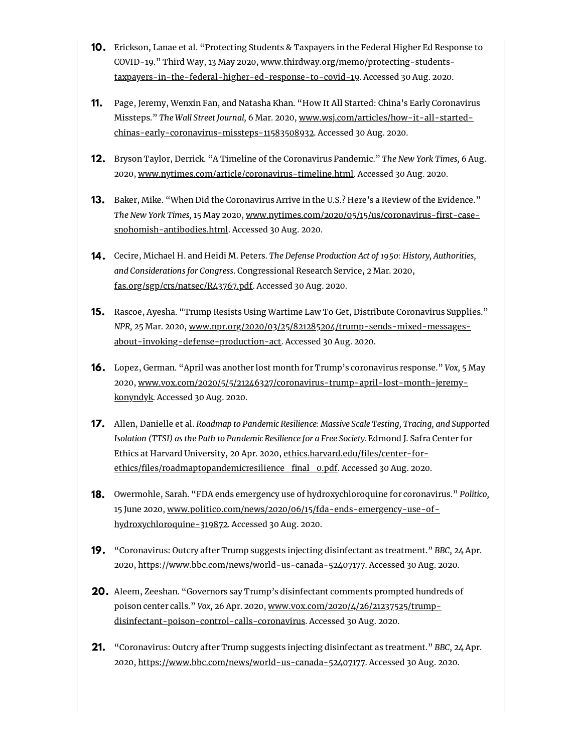- **10.** Erickson, Lanae et al. "Protecting Students & Taxpayers in the Federal Higher Ed Response to COVID-19." Third Way, 13 May 2020, www.thirdway.org/memo/protecting-students[taxpayers-in-the-federal-higher-ed-response-to-covid-19.](https://www.thirdway.org/memo/protecting-students-taxpayers-in-the-federal-higher-ed-response-to-covid-19) Accessed 30 Aug. 2020.
- Page, Jeremy, Wenxin Fan, and Natasha Khan. "How It All Started: China's Early Coronavirus **11.** Missteps." *The Wall Street Journal,* 6 Mar. 2020, www.wsj.com/articles/how-it-all-started[chinas-early-coronavirus-missteps-11583508932.](http://www.wsj.com/articles/how-it-all-started-chinas-early-coronavirus-missteps-11583508932) Accessed 30 Aug. 2020.
- Bryson Taylor, Derrick. "A Timeline of the Coronavirus Pandemic." *The New York Times,* 6 Aug. **12.** 2020, [www.nytimes.com/article/coronavirus-timeline.html](http://www.nytimes.com/article/coronavirus-timeline.html). Accessed 30 Aug. 2020.
- Baker, Mike. "When Did the Coronavirus Arrive in the U.S.? Here's a Review of the Evidence." **13.** The New York Times, 15 May 2020, www.nytimes.com/2020/05/15/us/coronavirus-first-casesnohomish-antibodies.html. Accessed 30 Aug. 2020.
- Cecire, Michael H. and Heidi M. Peters. *The Defense Production Act of 1950: History, Authorities,* **14.** *and Considerations for Congress*. Congressional Research Service, 2 Mar. 2020, [fas.org/sgp/crs/natsec/R43767.pdf](https://fas.org/sgp/crs/natsec/R43767.pdf). Accessed 30 Aug. 2020.
- **15.** Rascoe, Ayesha. "Trump Resists Using Wartime Law To Get, Distribute Coronavirus Supplies." *NPR,* 25 Mar. 2020, [www.npr.org/2020/03/25/821285204/trump-sends-mixed-messages](http://www.npr.org/2020/03/25/821285204/trump-sends-mixed-messages-about-invoking-defense-production-act)about-invoking-defense-production-act. Accessed 30 Aug. 2020.
- Lopez, German. "April was another lost month for Trump's coronavirus response." *Vox,* 5 May **16.** 2020, [www.vox.com/2020/5/5/21246327/coronavirus-trump-april-lost-month-jeremy](http://www.vox.com/2020/5/5/21246327/coronavirus-trump-april-lost-month-jeremy-konyndyk)konyndyk. Accessed 30 Aug. 2020.
- Allen, Danielle et al. *Roadmap to Pandemic Resilience: Massive Scale Testing, Tracing, and Supported* **17.** *Isolation (TTSI) as the Path to Pandemic Resilience for a Free Society.* Edmond J. Safra Center for Ethics at Harvard University, 20 Apr. 2020, ethics.harvard.edu/files/center-forethics/files/roadmaptopandemicresilience\_final\_0.pdf. Accessed 30 Aug. 2020.
- **18.** Owermohle, Sarah. "FDA ends emergency use of hydroxychloroquine for coronavirus." *Politico*, 15 June 2020, [www.politico.com/news/2020/06/15/fda-ends-emergency-use-of](http://www.politico.com/news/2020/06/15/fda-ends-emergency-use-of-hydroxychloroquine-319872)hydroxychloroquine-319872. Accessed 30 Aug. 2020.
- **19.** "Coronavirus: Outcry after Trump suggests injecting disinfectant as treatment." *BBC*, 24 Apr. 2020, <https://www.bbc.com/news/world-us-canada-52407177>. Accessed 30 Aug. 2020.
- Aleem, Zeeshan. "Governors say Trump's disinfectant comments prompted hundreds of **20.** poison center calls." *Vox,* 26 Apr. 2020, www.vox.com/2020/4/26/21237525/trump[disinfectant-poison-control-calls-coronavirus.](http://www.vox.com/2020/4/26/21237525/trump-disinfectant-poison-control-calls-coronavirus) Accessed 30 Aug. 2020.
- **21.** "Coronavirus: Outcry after Trump suggests injecting disinfectant as treatment." *BBC*, 24 Apr. 2020, <https://www.bbc.com/news/world-us-canada-52407177>. Accessed 30 Aug. 2020.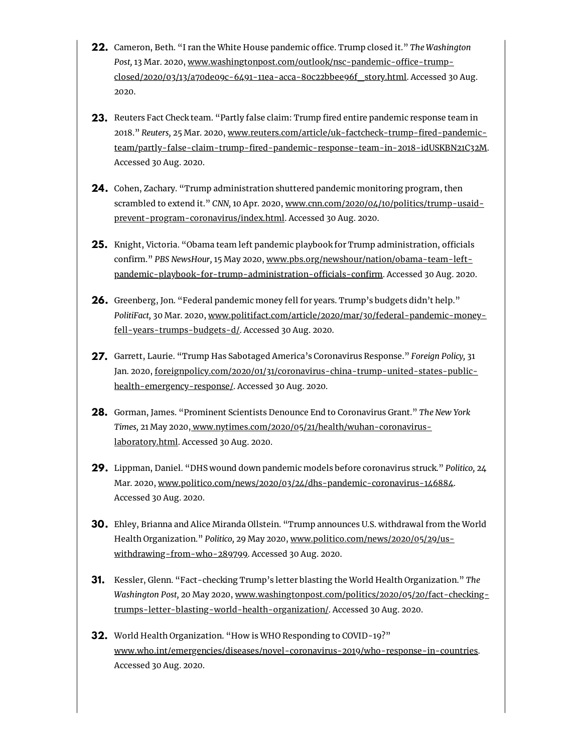- **22.** Cameron, Beth. "I ran the White House pandemic office. Trump closed it." *The Washington* Post, 13 Mar. 2020, www.washingtonpost.com/outlook/nsc-pandemic-office-trump[closed/2020/03/13/a70de09c-6491-11ea-acca-80c22bbee96f\\_story.html.](https://www.washingtonpost.com/outlook/nsc-pandemic-office-trump-closed/2020/03/13/a70de09c-6491-11ea-acca-80c22bbee96f_story.html) Accessed 30 Aug. 2020.
- **23.** Reuters Fact Check team. "Partly false claim: Trump fired entire pandemic response team in 2018." Reuters, 25 Mar. 2020, www.reuters.com/article/uk-factcheck-trump-fired-pandemicteam/partly-false-claim-trump-fired-pandemic-response-team-in-2018-idUSKBN21C32M. Accessed 30 Aug. 2020.
- Cohen, Zachary. "Trump administration shuttered pandemic monitoring program, then **24.** scrambled to extend it." *CNN,* 10 Apr. 2020, [www.cnn.com/2020/04/10/politics/trump-usaid](http://www.cnn.com/2020/04/10/politics/trump-usaid-prevent-program-coronavirus/index.html)prevent-program-coronavirus/index.html. Accessed 30 Aug. 2020.
- **25.** Knight, Victoria. "Obama team left pandemic playbook for Trump administration, officials confirm." PBS NewsHour, 15 May 2020, www.pbs.org/newshour/nation/obama-team-leftpandemic-playbook-for-trump-administration-officials-confirm. Accessed 30 Aug. 2020.
- **26.** Greenberg, Jon. "Federal pandemic money fell for years. Trump's budgets didn't help." *PolitiFact,* 30 Mar. 2020, [www.politifact.com/article/2020/mar/30/federal-pandemic-money](http://www.politifact.com/article/2020/mar/30/federal-pandemic-money-fell-years-trumps-budgets-d/)fell-years-trumps-budgets-d/. Accessed 30 Aug. 2020.
- Garrett, Laurie. "Trump Has Sabotaged America's Coronavirus Response." *Foreign Policy,* 31 **27.** Jan. 2020, [foreignpolicy.com/2020/01/31/coronavirus-china-trump-united-states-public](https://foreignpolicy.com/2020/01/31/coronavirus-china-trump-united-states-public-health-emergency-response/)health-emergency-response/. Accessed 30 Aug. 2020.
- Gorman, James. "Prominent Scientists Denounce End to Coronavirus Grant." *The New York* **28.** *Times,* 21 May 2020, [www.nytimes.com/2020/05/21/health/wuhan-coronavirus](http://www.nytimes.com/2020/05/21/health/wuhan-coronavirus-laboratory.html)laboratory.html. Accessed 30 Aug. 2020.
- Lippman, Daniel. "DHS wound down pandemic models before coronavirus struck." *Politico,* 24 **29.** Mar. 2020, [www.politico.com/news/2020/03/24/dhs-pandemic-coronavirus-146884](https://www.politico.com/news/2020/03/24/dhs-pandemic-coronavirus-146884). Accessed 30 Aug. 2020.
- Ehley, Brianna and Alice Miranda Ollstein. "Trump announces U.S. withdrawal from the World **30.** Health Organization." *Politico,* 29 May 2020, [www.politico.com/news/2020/05/29/us](http://www.politico.com/news/2020/05/29/us-withdrawing-from-who-289799)withdrawing-from-who-289799. Accessed 30 Aug. 2020.
- **31.** Kessler, Glenn. "Fact-checking Trump's letter blasting the World Health Organization." *The Washington Post,* 20 May 2020, [www.washingtonpost.com/politics/2020/05/20/fact-checking](https://www.washingtonpost.com/politics/2020/05/20/fact-checking-trumps-letter-blasting-world-health-organization/)trumps-letter-blasting-world-health-organization/. Accessed 30 Aug. 2020.
- World Health Organization. "How is WHO Responding to COVID-19?" **32.**[www.who.int/emergencies/diseases/novel-coronavirus-2019/who-response-in-countries](https://www.who.int/emergencies/diseases/novel-coronavirus-2019/who-response-in-countries). Accessed 30 Aug. 2020.